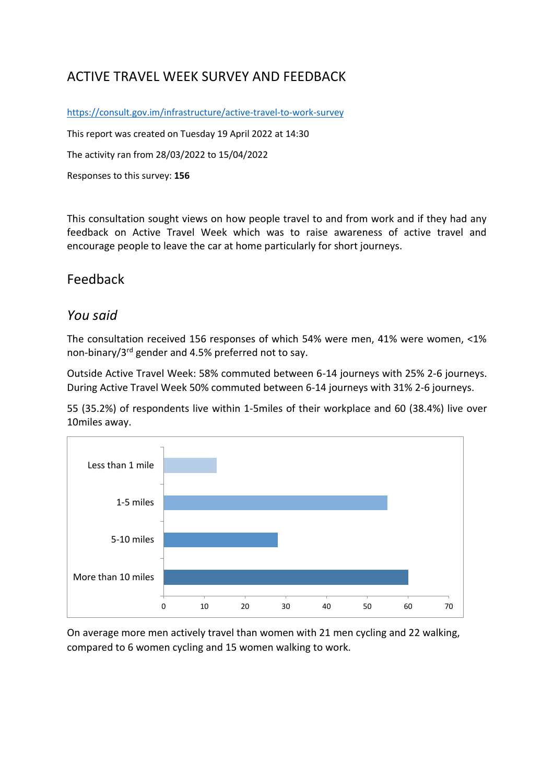# ACTIVE TRAVEL WEEK SURVEY AND FEEDBACK

<https://consult.gov.im/infrastructure/active-travel-to-work-survey>

This report was created on Tuesday 19 April 2022 at 14:30

The activity ran from 28/03/2022 to 15/04/2022

Responses to this survey: **156**

This consultation sought views on how people travel to and from work and if they had any feedback on Active Travel Week which was to raise awareness of active travel and encourage people to leave the car at home particularly for short journeys.

## Feedback

### *You said*

The consultation received 156 responses of which 54% were men, 41% were women, <1% non-binary/3rd gender and 4.5% preferred not to say.

Outside Active Travel Week: 58% commuted between 6-14 journeys with 25% 2-6 journeys. During Active Travel Week 50% commuted between 6-14 journeys with 31% 2-6 journeys.

55 (35.2%) of respondents live within 1-5miles of their workplace and 60 (38.4%) live over 10miles away.



On average more men actively travel than women with 21 men cycling and 22 walking, compared to 6 women cycling and 15 women walking to work.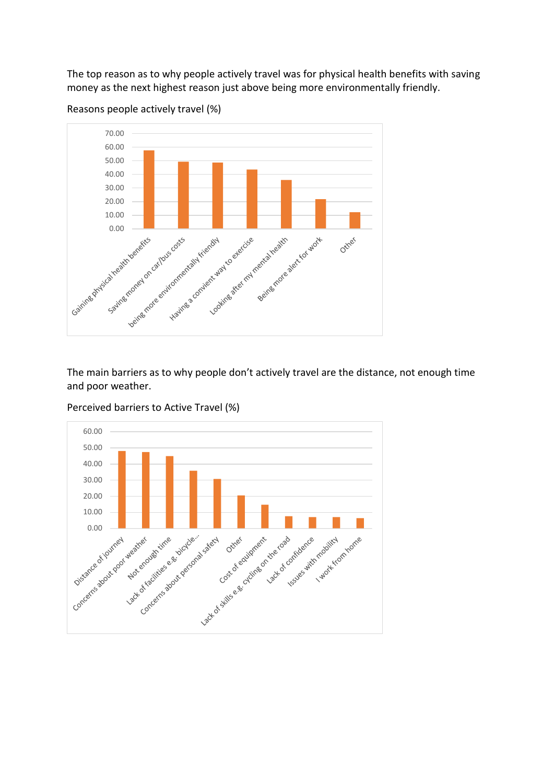The top reason as to why people actively travel was for physical health benefits with saving money as the next highest reason just above being more environmentally friendly.



Reasons people actively travel (%)

The main barriers as to why people don't actively travel are the distance, not enough time and poor weather.



Perceived barriers to Active Travel (%)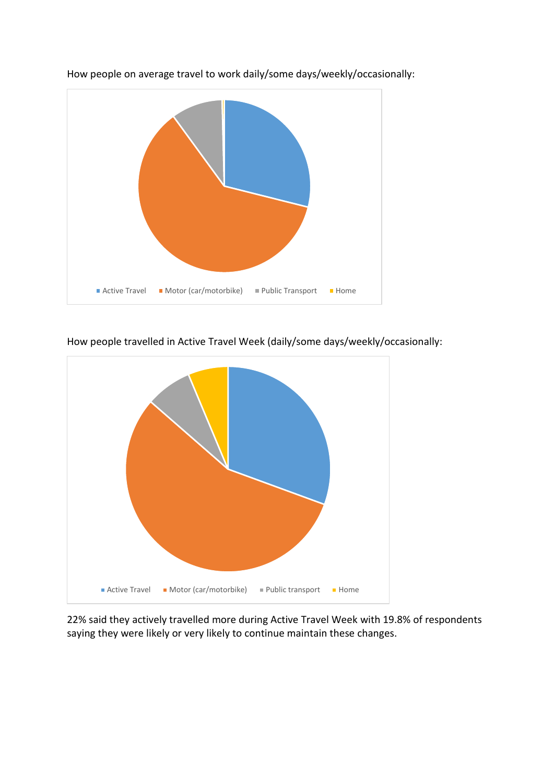

How people on average travel to work daily/some days/weekly/occasionally:



How people travelled in Active Travel Week (daily/some days/weekly/occasionally:

22% said they actively travelled more during Active Travel Week with 19.8% of respondents saying they were likely or very likely to continue maintain these changes.